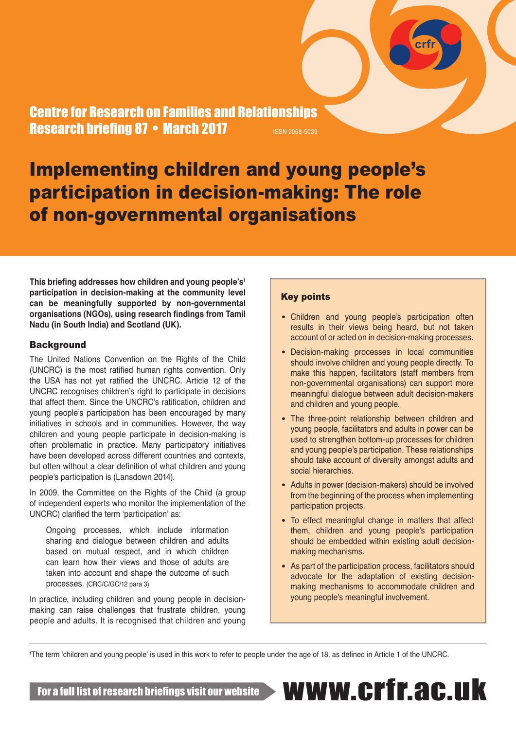Centre for Research on Families and Relationships Research briefing 87 • March 2017 **ISSN 2058-5039** 

# Implementing children and young people's participation in decision-making: The role of non-governmental organisations

**This briefing addresses how children and young people's<sup>1</sup> participation in decision-making at the community level can be meaningfully supported by non-governmental organisations (NGOs), using research findings from Tamil Nadu (in South India) and Scotland (UK).** 

#### **Background**

The United Nations Convention on the Rights of the Child (UNCRC) is the most ratified human rights convention. Only the USA has not yet ratified the UNCRC. Article 12 of the UNCRC recognises children's right to participate in decisions that affect them. Since the UNCRC's ratification, children and young people's participation has been encouraged by many initiatives in schools and in communities. However, the way children and young people participate in decision-making is often problematic in practice. Many participatory initiatives have been developed across different countries and contexts, but often without a clear definition of what children and young people's participation is (Lansdown 2014).

In 2009, the Committee on the Rights of the Child (a group of independent experts who monitor the implementation of the UNCRC) clarified the term 'participation' as:

Ongoing processes, which include information sharing and dialogue between children and adults based on mutual respect, and in which children can learn how their views and those of adults are taken into account and shape the outcome of such processes. (CRC/C/GC/12 para 3)

In practice, including children and young people in decisionmaking can raise challenges that frustrate children, young people and adults. It is recognised that children and young

#### Key points

• Children and young people's participation often results in their views being heard, but not taken account of or acted on in decision-making processes.

**crfr**

- Decision-making processes in local communities should involve children and young people directly. To make this happen, facilitators (staff members from non-governmental organisations) can support more meaningful dialogue between adult decision-makers and children and young people.
- The three-point relationship between children and young people, facilitators and adults in power can be used to strengthen bottom-up processes for children and young people's participation. These relationships should take account of diversity amongst adults and social hierarchies.
- Adults in power (decision-makers) should be involved from the beginning of the process when implementing participation projects.
- To effect meaningful change in matters that affect them, children and young people's participation should be embedded within existing adult decisionmaking mechanisms.
- As part of the participation process, facilitators should advocate for the adaptation of existing decisionmaking mechanisms to accommodate children and young people's meaningful involvement.

1 The term 'children and young people' is used in this work to refer to people under the age of 18, as defined in Article 1 of the UNCRC.

For a full list of research briefings visit our website www.crfr.ac.uk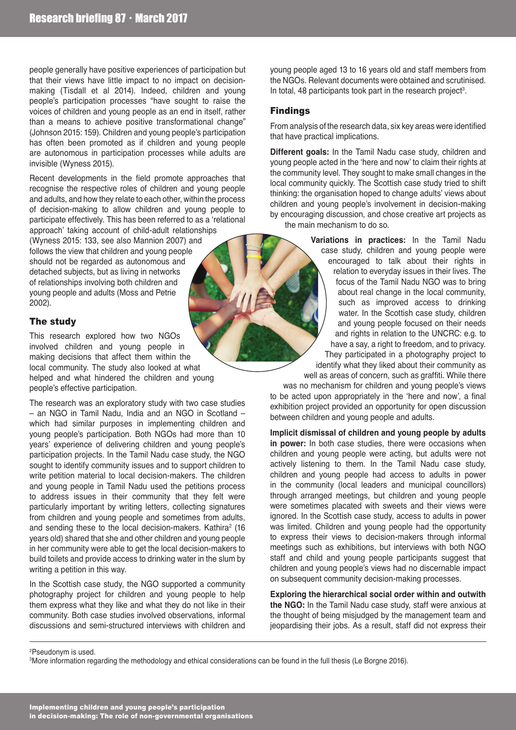people generally have positive experiences of participation but that their views have little impact to no impact on decisionmaking (Tisdall et al 2014). Indeed, children and young people's participation processes "have sought to raise the voices of children and young people as an end in itself, rather than a means to achieve positive transformational change" (Johnson 2015: 159). Children and young people's participation has often been promoted as if children and young people are autonomous in participation processes while adults are invisible (Wyness 2015).

Recent developments in the field promote approaches that recognise the respective roles of children and young people and adults, and how they relate to each other, within the process of decision-making to allow children and young people to participate effectively. This has been referred to as a 'relational approach' taking account of child-adult relationships (Wyness 2015: 133, see also Mannion 2007) and follows the view that children and young people should not be regarded as autonomous and detached subjects, but as living in networks of relationships involving both children and young people and adults (Moss and Petrie 2002).

### The study

This research explored how two NGOs involved children and young people in making decisions that affect them within the local community. The study also looked at what helped and what hindered the children and young people's effective participation.

The research was an exploratory study with two case studies – an NGO in Tamil Nadu, India and an NGO in Scotland – which had similar purposes in implementing children and young people's participation. Both NGOs had more than 10 years' experience of delivering children and young people's participation projects. In the Tamil Nadu case study, the NGO sought to identify community issues and to support children to write petition material to local decision-makers. The children and young people in Tamil Nadu used the petitions process to address issues in their community that they felt were particularly important by writing letters, collecting signatures from children and young people and sometimes from adults, and sending these to the local decision-makers. Kathira<sup>2</sup> (16 years old) shared that she and other children and young people in her community were able to get the local decision-makers to build toilets and provide access to drinking water in the slum by writing a petition in this way.

In the Scottish case study, the NGO supported a community photography project for children and young people to help them express what they like and what they do not like in their community. Both case studies involved observations, informal discussions and semi-structured interviews with children and

young people aged 13 to 16 years old and staff members from the NGOs. Relevant documents were obtained and scrutinised. In total, 48 participants took part in the research project<sup>3</sup>.

# Findings

From analysis of the research data, six key areas were identified that have practical implications.

**Different goals:** In the Tamil Nadu case study, children and young people acted in the 'here and now' to claim their rights at the community level. They sought to make small changes in the local community quickly. The Scottish case study tried to shift thinking: the organisation hoped to change adults' views about children and young people's involvement in decision-making by encouraging discussion, and chose creative art projects as the main mechanism to do so.

> **Variations in practices:** In the Tamil Nadu case study, children and young people were encouraged to talk about their rights in relation to everyday issues in their lives. The focus of the Tamil Nadu NGO was to bring about real change in the local community, such as improved access to drinking water. In the Scottish case study, children and young people focused on their needs and rights in relation to the UNCRC: e.g. to have a say, a right to freedom, and to privacy. They participated in a photography project to identify what they liked about their community as well as areas of concern, such as graffiti. While there

was no mechanism for children and young people's views to be acted upon appropriately in the 'here and now', a final exhibition project provided an opportunity for open discussion between children and young people and adults.

**Implicit dismissal of children and young people by adults in power:** In both case studies, there were occasions when children and young people were acting, but adults were not actively listening to them. In the Tamil Nadu case study, children and young people had access to adults in power in the community (local leaders and municipal councillors) through arranged meetings, but children and young people were sometimes placated with sweets and their views were ignored. In the Scottish case study, access to adults in power was limited. Children and young people had the opportunity to express their views to decision-makers through informal meetings such as exhibitions, but interviews with both NGO staff and child and young people participants suggest that children and young people's views had no discernable impact on subsequent community decision-making processes.

**Exploring the hierarchical social order within and outwith the NGO:** In the Tamil Nadu case study, staff were anxious at the thought of being misjudged by the management team and jeopardising their jobs. As a result, staff did not express their

<sup>2</sup>Pseudonym is used.

3More information regarding the methodology and ethical considerations can be found in the full thesis (Le Borgne 2016).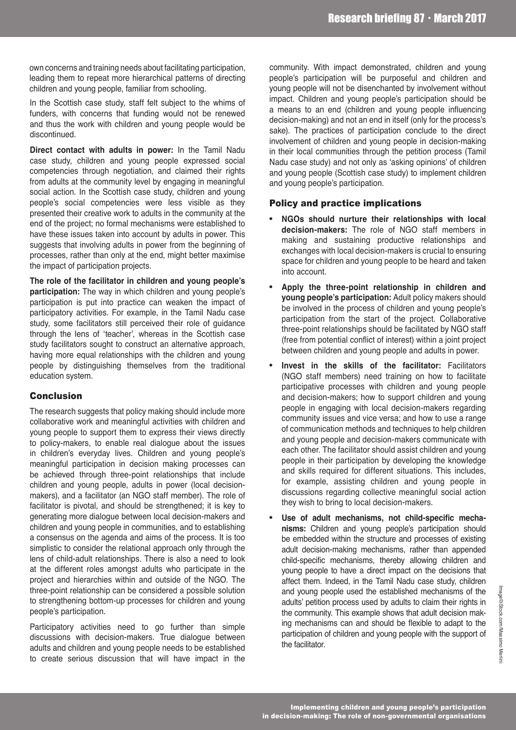own concerns and training needs about facilitating participation, leading them to repeat more hierarchical patterns of directing children and young people, familiar from schooling.

In the Scottish case study, staff felt subject to the whims of funders, with concerns that funding would not be renewed and thus the work with children and young people would be discontinued.

**Direct contact with adults in power:** In the Tamil Nadu case study, children and young people expressed social competencies through negotiation, and claimed their rights from adults at the community level by engaging in meaningful social action. In the Scottish case study, children and young people's social competencies were less visible as they presented their creative work to adults in the community at the end of the project; no formal mechanisms were established to have these issues taken into account by adults in power. This suggests that involving adults in power from the beginning of processes, rather than only at the end, might better maximise the impact of participation projects.

**The role of the facilitator in children and young people's participation:** The way in which children and young people's participation is put into practice can weaken the impact of participatory activities. For example, in the Tamil Nadu case study, some facilitators still perceived their role of guidance through the lens of 'teacher', whereas in the Scottish case study facilitators sought to construct an alternative approach, having more equal relationships with the children and young people by distinguishing themselves from the traditional education system.

### Conclusion

The research suggests that policy making should include more collaborative work and meaningful activities with children and young people to support them to express their views directly to policy-makers, to enable real dialogue about the issues in children's everyday lives. Children and young people's meaningful participation in decision making processes can be achieved through three-point relationships that include children and young people, adults in power (local decisionmakers), and a facilitator (an NGO staff member). The role of facilitator is pivotal, and should be strengthened; it is key to generating more dialogue between local decision-makers and children and young people in communities, and to establishing a consensus on the agenda and aims of the process. It is too simplistic to consider the relational approach only through the lens of child-adult relationships. There is also a need to look at the different roles amongst adults who participate in the project and hierarchies within and outside of the NGO. The three-point relationship can be considered a possible solution to strengthening bottom-up processes for children and young people's participation.

Participatory activities need to go further than simple discussions with decision-makers. True dialogue between adults and children and young people needs to be established to create serious discussion that will have impact in the

community. With impact demonstrated, children and young people's participation will be purposeful and children and young people will not be disenchanted by involvement without impact. Children and young people's participation should be a means to an end (children and young people influencing decision-making) and not an end in itself (only for the process's sake). The practices of participation conclude to the direct involvement of children and young people in decision-making in their local communities through the petition process (Tamil Nadu case study) and not only as 'asking opinions' of children and young people (Scottish case study) to implement children and young people's participation.

#### Policy and practice implications

- <sup>l</sup> **NGOs should nurture their relationships with local decision-makers:** The role of NGO staff members in making and sustaining productive relationships and exchanges with local decision-makers is crucial to ensuring space for children and young people to be heard and taken into account.
- <sup>l</sup> **Apply the three-point relationship in children and young people's participation:** Adult policy makers should be involved in the process of children and young people's participation from the start of the project. Collaborative three-point relationships should be facilitated by NGO staff (free from potential conflict of interest) within a joint project between children and young people and adults in power.
- Invest in the skills of the facilitator: Facilitators (NGO staff members) need training on how to facilitate participative processes with children and young people and decision-makers; how to support children and young people in engaging with local decision-makers regarding community issues and vice versa; and how to use a range of communication methods and techniques to help children and young people and decision-makers communicate with each other. The facilitator should assist children and young people in their participation by developing the knowledge and skills required for different situations. This includes, for example, assisting children and young people in discussions regarding collective meaningful social action they wish to bring to local decision-makers.
- Use of adult mechanisms, not child-specific mecha**nisms:** Children and young people's participation should be embedded within the structure and processes of existing adult decision-making mechanisms, rather than appended child-specific mechanisms, thereby allowing children and young people to have a direct impact on the decisions that affect them. Indeed, in the Tamil Nadu case study, children and young people used the established mechanisms of the adults' petition process used by adults to claim their rights in the community. This example shows that adult decision making mechanisms can and should be flexible to adapt to the participation of children and young people with the support of the facilitator.